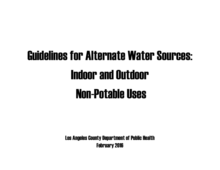# Guidelines for Alternate Water Sources: **Indoor and Outdoor** Non-Potable Uses

Los Angeles County Department of Public Health February 2016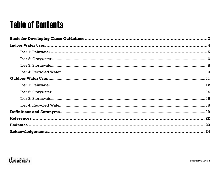## **Table of Contents**

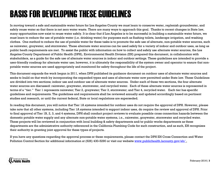# BASIS FOR DEVELOPINGTHESE GUIDELINES

In moving toward a safe and sustainable water future for Los Angeles County we must learn to conserve water, replenish groundwater, and safely reuse water so that there is net zero water waste. There are many ways to approach this goal. Thanks to recent changes in State law, many opportunities now exist to reuse water safely. It is clear that if Los Angeles is to be successful in building a sustainable water future, we must learn to reduce the use of potable water (i.e. drinking water) for purposes such as flushing toilets, landscape irrigation, and washing clothes. One method to reduce the use of potable water for these tasks is to promote the safe use of alternate, non-potable water sources, such as rainwater, graywater, and stormwater. These alternate water sources can be used safely for a variety of indoor and outdoor uses, as long as public heath requirements are met. To assist the public with information on how to collect and safely use alternate water sources, the Los Angeles County Department of Public Health (DPH), Environmental Health Division (EH) prepared this document, in collaboration with stakeholders, as a guide for the safe use of alternate water sources in indoor and outdoor settings. These guidelines are intended to provide a user-friendly roadmap for alternate water use; however, it is ultimately the responsibility of the system owner and operator to ensure that nonpotable water sources are used appropriately and monitored for safety throughout the life of the project.

This document expands the work begun in 2011, when DPH published its guidance document on outdoor uses of alternate water sources and seeks to build on that work by incorporating the expanded types and uses of alternate water now permitted under State law. These Guidelines are divided into two sections; indoor use and outdoor use of alternate water sources. Under each of these two sections, the four alternate water sources are discussed: rainwater, graywater, stormwater, and recycled water. Each of these alternate water sources is represented in terms of a "tier." Tier 1 represents rainwater; Tier 2, graywater; Tier 3, stormwater; and Tier 4, recycled water. Each tier has specific guidelines and requirements. The guidelines and requirements shall be reviewed annually and updated accordingly based on pertinent studies and research, or until the current federal, State or local regulations are superseded.

In reading this document, you will notice that Tier 1A systems intended for outdoor uses do not require the approval of DPH. However, please take note that all other systems, including Tier 1A systems intended to support indoor uses, do require the review and approval of DPH. Prior to final approval of Tier 1B, 2, 3, and 4 systems, DPH shall conduct project reviews to evaluate possible cross connection hazards between the domestic potable water supply and any alternate non-potable water systems, i.e., rainwater, graywater, stormwater and recycled water. These projects will be reviewed in conjunction with local building & safety departments and/or public works departments as these departments are the administrative authority referenced in the California Plumbing Code for such construction, and as such, EH recognizes their authority in granting joint approval for these types of projects.

If you have any questions regarding the approval process or these requirements, please contact the DPH EH Cross Connection and Water Pollution Control Section for additional information at (626) 430-5290 or visit our website [www.publichealth.lacounty.gov/eh/](http://www.publichealth.lacounty.gov/eh/)

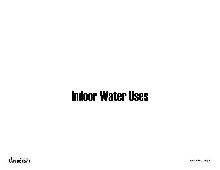# Indoor Water Uses

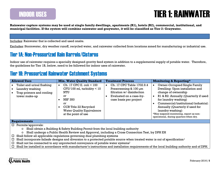#### INDOOR USES

#### TIER 1: RAINWATER

**Rainwater capture systems may be used at single family dwellings, apartments (R1), hotels (R2), commercial, institutional, and municipal facilities. If the system will combine rainwater and graywater, it will be classified as Tier 2: Graywater.** 

Includes: Rainwater that is collected and used onsite.

Excludes: Stormwater, dry weather runoff, recycled water, and rainwater collected from locations zoned for manufacturing or industrial use.

#### Tier 1A: Non-Pressurized Rain Barrels/Cisterns

Indoor use of rainwater requires a specially designed gravity feed system in addition to a supplemental supply of potable water. Therefore, the guidelines for Tier 1B, below, need to be followed for indoor uses of rainwater.

#### Tier 1B: Pressurized Rainwater Catchment Systems

| <b>Allowed Uses</b>                                                                                                                    | <b>Min. Water Quality Standard</b>                                                                                                                                                               | <b>Treatment Process</b>                                                                                                                           | <b>Monitoring &amp; Reporting*</b>                                                                                                                                                                                                                                                                                                                      |  |  |
|----------------------------------------------------------------------------------------------------------------------------------------|--------------------------------------------------------------------------------------------------------------------------------------------------------------------------------------------------|----------------------------------------------------------------------------------------------------------------------------------------------------|---------------------------------------------------------------------------------------------------------------------------------------------------------------------------------------------------------------------------------------------------------------------------------------------------------------------------------------------------------|--|--|
| Toilet and urinal flushing<br>Laundry washing<br>Trap primers and cooling<br>tower make-up                                             | Ch. 17 CPC E. coli < 100<br>$\bullet$<br>$CFU/100$ ml, turbidity $< 10$<br>NTU<br>or<br><b>NSF 350</b><br>0r<br>CCR Title 22 Recycled<br><b>Water Quality Equivalence</b><br>at the point of use | Ch. 17 CPC Table 1702.9.4<br>$\bullet$<br>Prescreening & 100 µm<br>filtration w/ disinfection<br>Evaluated on a case-by-<br>case basis per project | Owner-Occupied Single Family<br>Dwelling: Upon installation and<br>change of ownership<br>R1 & R2: Annually (Quarterly if used<br>$\bullet$<br>for laundry washing)<br>Commercial/institutional/industrial:<br>Annually (Quarterly if used for<br>laundry washing)<br>*May suspend monitoring, report as non-<br>operational, during quarters when dry. |  |  |
| <b>Requirements</b>                                                                                                                    |                                                                                                                                                                                                  |                                                                                                                                                    |                                                                                                                                                                                                                                                                                                                                                         |  |  |
| Permits/approvals:<br>□.                                                                                                               |                                                                                                                                                                                                  |                                                                                                                                                    |                                                                                                                                                                                                                                                                                                                                                         |  |  |
| $\circ$                                                                                                                                | Shall obtain a Building & Safety Building Permit from the local building authority                                                                                                               |                                                                                                                                                    |                                                                                                                                                                                                                                                                                                                                                         |  |  |
| Shall undergo a Public Health Review and Approval, including a Cross Connection Test, by DPH EH<br>$\circ$                             |                                                                                                                                                                                                  |                                                                                                                                                    |                                                                                                                                                                                                                                                                                                                                                         |  |  |
| Shall follow all applicable regulations governing dual plumbing systems                                                                |                                                                                                                                                                                                  |                                                                                                                                                    |                                                                                                                                                                                                                                                                                                                                                         |  |  |
| Shall incorporate failsafe designs and diversion to a protected potable source when treated water is out of specification <sup>1</sup> |                                                                                                                                                                                                  |                                                                                                                                                    |                                                                                                                                                                                                                                                                                                                                                         |  |  |
| Shall not be connected to any unprotected conveyance of potable water systems <sup>1</sup>                                             |                                                                                                                                                                                                  |                                                                                                                                                    |                                                                                                                                                                                                                                                                                                                                                         |  |  |
|                                                                                                                                        | Shall be installed in accordance with manufacturer's instructions and installation requirements of the local building authority and of DPH.                                                      |                                                                                                                                                    |                                                                                                                                                                                                                                                                                                                                                         |  |  |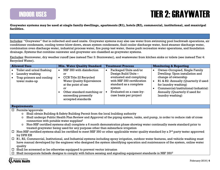### TIER 2: GRAYWATER

**Graywater systems may be used at single family dwellings, apartments (R1), hotels (R2), commercial, institutional, and municipal facilities.**

Includes: "Graywater" that is collected and used onsite. Graywater systems may also use water from swimming pool backwash operations, air conditioner condensate, cooling tower-blow-down, steam system condensate, fluid cooler discharge water, food steamer discharge water, combination oven discharge water, industrial process water, fire pump test water, theme park recreation water operations, and foundation drainage. Systems that combine rainwater and graywater are classified as graywater systems.

Excludes: Stormwater, dry weather runoff (see instead Tier 3: Stormwater), and wastewater from kitchen sinks or toilets (see instead Tier 4: Recycled Water).

| <b>Allowed Uses</b>                                                                                     | <b>Min. Water Quality Standard</b>                                                                                                                                                                   | <b>Treatment Process</b>                                                                                                                                                                        | <b>Monitoring &amp; Reporting</b>                                                                                                                                                                                                                      |
|---------------------------------------------------------------------------------------------------------|------------------------------------------------------------------------------------------------------------------------------------------------------------------------------------------------------|-------------------------------------------------------------------------------------------------------------------------------------------------------------------------------------------------|--------------------------------------------------------------------------------------------------------------------------------------------------------------------------------------------------------------------------------------------------------|
| Toilet and urinal flushing<br>Laundry washing<br>Trap primers and cooling<br>$\bullet$<br>tower make-up | NSF 350 with disinfection<br>or<br>CCR Title 22 Recycled<br><b>Water Quality Equivalence</b><br>at the point of use<br>Οľ<br>Other standard matching or<br>exceeding presently<br>accepted standards | Packaged Units and/or<br>Design Build Units -<br>evaluated and complying<br>with NSF 350 certification<br>standard as a complete<br>system<br>Evaluated on a case-by-<br>case basis per project | Owner-Occupied, Single Family<br>Dwelling: Upon installation and<br>change of ownership<br>R1 & R2: Annually (Quarterly if used<br>for laundry washing)<br>Commercial/institutional/industrial:<br>Annually (Quarterly if used for<br>laundry washing) |

#### **Requirements**

- $\Box$  Permits/approvals:
	- o Shall obtain Building & Safety Building Permit from the local building authority
	- o Shall undergo Public Health Plan Review and Approval of the piping system, tanks, and pump, in order to reduce risk of cross connection with potable water supplies $2$
	- $\circ$  Non-NSF certified systems shall complete a 6 month demonstration phase showing water continually meets standard prior to treated graywater being used for any purpose other than subsurface irrigation
- $\Box$  Non-NSF certified systems shall be certified to meet NSF 350 or other applicable water quality standard by a 3<sup>rd</sup> party tester approved by DPH EH
- $\Box$  R1, R2, Commercial, Institutional, and Industrial systems including spray irrigation, outdoor water features, and vehicle washing must have manual developed by the engineer who designed the system identifying operation and maintenance of the system, online water quality
- $\Box$  Shall be screened or be otherwise equipped to prevent vector intrusion
- $\square$  Shall incorporate failsafe designs to comply with failure sensing and signaling equipment standards in NSF 350 $3$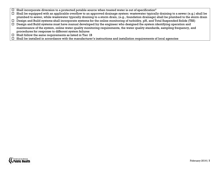- $\square$  Shall incorporate diversion to a protected potable source when treated water is out of specification<sup>4</sup>
- $\Box$  Shall be equipped with an applicable overflow to an approved drainage system: wastewater typically draining to a sewer (e.g.) shall be plumbed to sewer, while wastewater typically draining to a storm drain, (e.g., foundation drainage) shall be plumbed to the storm drain
- $\Box$  Design and Build systems shall incorporate systems for the online monitoring of turbidity, pH, and Total Suspended Solids (TSS)
- Design and Build systems must have manual developed by the engineer who designed the system identifying operation and maintenance of the system, online water quality monitoring requirements, the water quality standards, sampling frequency, and procedures for response to different system failures
- $\square$  Shall follow the same requirements as listed in Tier 1B
- $\Box$  Shall be installed in accordance with the manufacturer's instructions and installation requirements of local agencies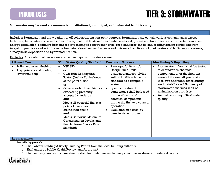INDOOR USES

### TIER 3: STORMWATER

**Stormwater may be used at commercial, institutional, municipal, and industrial facilities only.**

Includes: Stormwater and dry weather runoff collected from non-point sources. Stormwater may contain various contaminants: excess fertilizers, herbicides and insecticides from agricultural lands and residential areas; oil, grease and toxic chemicals from urban runoff and energy production; sediment from improperly managed construction sites, crop and forest lands, and eroding stream banks; salt from irrigation practices and acid drainage from abandoned mines; bacteria and nutrients from livestock, pet wastes and faulty septic systems; atmospheric deposition and hydromodification.

Excludes: Any water that has not entered a municipal stormwater system.

| <b>Allowed Uses</b>                                                                                                                                                                     | <b>Min. Water Quality Standard</b>                                                                                                                                                                                                                                                                                                                                                                                                   | <b>Treatment Process</b>                                                                                                                                                                                                                                                                                                                        | <b>Monitoring &amp; Reporting</b>                                                                                                                                                                                                                                                                                                                             |  |
|-----------------------------------------------------------------------------------------------------------------------------------------------------------------------------------------|--------------------------------------------------------------------------------------------------------------------------------------------------------------------------------------------------------------------------------------------------------------------------------------------------------------------------------------------------------------------------------------------------------------------------------------|-------------------------------------------------------------------------------------------------------------------------------------------------------------------------------------------------------------------------------------------------------------------------------------------------------------------------------------------------|---------------------------------------------------------------------------------------------------------------------------------------------------------------------------------------------------------------------------------------------------------------------------------------------------------------------------------------------------------------|--|
| Toilet and urinal flushing<br>$\bullet$<br>Trap primers and cooling<br>tower make-up                                                                                                    | <b>NSF 350</b><br>$\bullet$<br><sub>or</sub><br>CCR Title 22 Recycled<br>$\bullet$<br><b>Water Quality Equivalence</b><br>at the point of use<br><b>or</b><br>Other standard matching or<br>exceeding presently<br>accepted standards<br>and<br>Meets all bacterial limits at<br>point of use when<br>distributed offsite<br>and<br>Meets California Maximum<br>Contamination Levels, and<br>the California Toxics Rule<br>Standards | Packaged Units and/or<br>Design Build Units -<br>evaluated and complying<br>with NSF 350 certification<br>standard as a complete<br>system<br>Specific treatment<br>components shall be based<br>on classification of<br>chemical components<br>during the first two years of<br>operation<br>Evaluated on a case-by-<br>case basis per project | Stormwater influent shall be tested<br>$\bullet$<br>to characterize chemical<br>components after the first rain<br>event of the rainfall year and at<br>least two additional times during<br>each rainfall year. <sup>5</sup> Summary of<br>stormwater analyses shall be<br>maintained on premises<br>Annual reporting of final water<br>$\bullet$<br>quality |  |
| <b>Requirements</b>                                                                                                                                                                     |                                                                                                                                                                                                                                                                                                                                                                                                                                      |                                                                                                                                                                                                                                                                                                                                                 |                                                                                                                                                                                                                                                                                                                                                               |  |
| $\Box$ Permits/approvals:<br>Shall obtain Building & Safety Building Permit from the local building authority<br>O<br>Shall undergo Public Health Review and Approval <sup>6</sup><br>O |                                                                                                                                                                                                                                                                                                                                                                                                                                      |                                                                                                                                                                                                                                                                                                                                                 |                                                                                                                                                                                                                                                                                                                                                               |  |

 $\circ$  Shall undergo review by Sanitation District for contaminates that may affect the wastewater treatment facility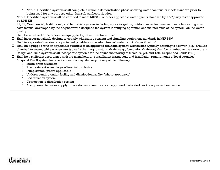- o Non-NSF certified systems shall complete a 6 month demonstration phase showing water continually meets standard prior to being used for any purpose other than sub-surface irrigation
- $\Box$  Non-NSF certified systems shall be certified to meet NSF 350 or other applicable water quality standard by a 3<sup>rd</sup> party tester approved by DPH EH
- $\Box$  R1, R2, Commercial, Institutional, and Industrial systems including spray irrigation, outdoor water features, and vehicle washing must have manual developed by the engineer who designed the system identifying operation and maintenance of the system, online water quality
- $\square$  Shall be screened or be otherwise equipped to prevent vector intrusion
- $\Box$  Shall incorporate failsafe designs to comply with failure sensing and signaling equipment standards in NSF 350<sup>3</sup>
- $\Box$  Shall incorporate diversion to a protected potable source when treated water is out of specification<sup>4</sup>
- $\Box$  Shall be equipped with an applicable overflow to an approved drainage system: wastewater typically draining to a sewer (e.g.) shall be plumbed to sewer, while wastewater typically draining to a storm drain, (e.g., foundation drainage) shall be plumbed to the storm drain
- $\Box$  Design and Build systems shall incorporate systems for the online monitoring of turbidity, pH, and Total Suspended Solids (TSS)
- $\Box$  Shall be installed in accordance with the manufacturer's installation instructions and installation requirements of local agencies
- $\Box$  A typical Tier 3 system for offsite collection may also require any of the following:
	- o Storm drain diversion
	- o Pre-treatment screening/sedimentation device
	- o Pump station (where applicable)
	- o Underground retention facility and disinfection facility (where applicable)
	- o Recirculation system
	- o Connection to distribution system
	- o A supplemental water supply from a domestic source via an approved dedicated backflow prevention device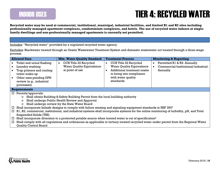#### INDOOR USES

### TIER 4: RECYCLED WATER

**Recycled water may be used at commercial, institutional, municipal, industrial facilities, and limited R1 and R2 sites including professionally managed apartment complexes, condominium complexes, and hotels. The use of recycled water indoors at singlefamily dwellings and non-professionally managed apartments is currently not permitted.**

Includes: "Recycled water" provided by a regulated recycled water agency.

Excludes: Blackwater treated through an Onsite Wastewater Treatment System and domestic wastewater *not* treated through a three-stage process.

|                  | <b>Allowed Uses</b>                                                                                                                                                                                                                                                                                | <b>Min. Water Quality Standard</b>                                                        | <b>Treatment Process</b>                                                                                                                                                    | <b>Monitoring &amp; Reporting</b>                                               |  |
|------------------|----------------------------------------------------------------------------------------------------------------------------------------------------------------------------------------------------------------------------------------------------------------------------------------------------|-------------------------------------------------------------------------------------------|-----------------------------------------------------------------------------------------------------------------------------------------------------------------------------|---------------------------------------------------------------------------------|--|
|                  | Toilet and urinal flushing<br>Laundry washing<br>Trap primers and cooling<br>tower make-up<br>Other uses pending DPH<br>review (e.g., industrial<br>processes)                                                                                                                                     | CCR Title 22 Recycled<br>$\bullet$<br><b>Water Quality Equivalence</b><br>at point of use | CCR Title 22 Recycled<br>$\bullet$<br><b>Water Quality Equivalence</b><br><b>Additional treatment onsite</b><br>to bring into compliance<br>with water quality<br>standards | Permitted R1 & R2: Annually<br>Commercial/institutional/industrial:<br>Annually |  |
|                  | <b>Requirements</b>                                                                                                                                                                                                                                                                                |                                                                                           |                                                                                                                                                                             |                                                                                 |  |
|                  | $\Box$ Permits/approvals:<br>Shall obtain Building & Safety Building Permit from the local building authority<br>$\circ$<br>Shall undergo Public Health Review and Approval<br>$\circ$<br>Shall undergo review by the State Water Board<br>O                                                       |                                                                                           |                                                                                                                                                                             |                                                                                 |  |
| $\Box$<br>$\Box$ | Shall incorporate failsafe designs to comply with failure sensing and signaling equipment standards in NSF 350 <sup>3</sup><br>R1, R2, commercial, institutional, and industrial systems shall incorporate systems for the online monitoring of turbidity, pH, and Total<br>Suspended Solids (TSS) |                                                                                           |                                                                                                                                                                             |                                                                                 |  |
| $\Box$<br>$\Box$ | Shall incorporate diversion to a protected potable source when treated water is out of specification <sup>4</sup><br>Shall comply with all regulations and ordinances as applicable to tertiary treated recycled water under permit from the Regional Water<br><b>Quality Control Board</b>        |                                                                                           |                                                                                                                                                                             |                                                                                 |  |

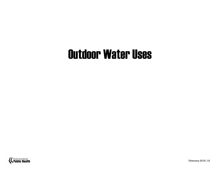# Outdoor Water Uses

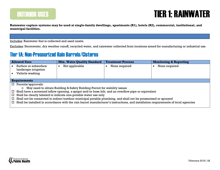#### OUTDOOR USES

#### TIER 1: RAINWATER

**Rainwater capture systems may be used at single-family dwellings, apartments (R1), hotels (R2), commercial, institutional, and municipal facilities.**

Includes: Rainwater that is collected and used onsite.

Excludes: Stormwater, dry weather runoff, recycled water, and rainwater collected from locations zoned for manufacturing or industrial use.

#### Tier 1A: Non-Pressurized Rain Barrels/Cisterns

| <b>Allowed Uses</b>                                                                                                                          | <b>Min. Water Quality Standard</b> | <b>Treatment Process</b> | <b>Monitoring &amp; Reporting</b> |  |
|----------------------------------------------------------------------------------------------------------------------------------------------|------------------------------------|--------------------------|-----------------------------------|--|
| Surface or subsurface                                                                                                                        | Not applicable                     | None required            | None required                     |  |
| landscape irrigation                                                                                                                         |                                    |                          |                                   |  |
| Vehicle washing                                                                                                                              |                                    |                          |                                   |  |
|                                                                                                                                              |                                    |                          |                                   |  |
| <b>Requirements</b>                                                                                                                          |                                    |                          |                                   |  |
| П.<br>Permits/approvals:                                                                                                                     |                                    |                          |                                   |  |
| $\circ$ May need to obtain Building & Safety Building Permit for stability issues                                                            |                                    |                          |                                   |  |
| Shall have a screened inflow opening, a spigot and/or hose bib, and an overflow pipe or equivalent<br>0                                      |                                    |                          |                                   |  |
| Shall be clearly labeled to indicate non-potable water use only                                                                              |                                    |                          |                                   |  |
| Shall not be connected to indoor/outdoor municipal potable plumbing, and shall not be pressurized or sprayed                                 |                                    |                          |                                   |  |
| Shall be installed in accordance with the rain barrel manufacturer's instructions, and installation requirements of local agencies<br>$\Box$ |                                    |                          |                                   |  |

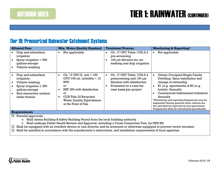### TIER 1: RAINWATER (CONTINUED)

#### Tier 1B: Pressurized Rainwater Catchment Systems

| <b>Allowed Uses</b>                                                                                                                                | <b>Min. Water Quality Standard</b>                                                                                                                                                                                          | <b>Treatment Process</b>                                                                                                                                    | <b>Monitoring &amp; Reporting*</b>                                                                                                                                                                                                                                                                                                                                                                   |
|----------------------------------------------------------------------------------------------------------------------------------------------------|-----------------------------------------------------------------------------------------------------------------------------------------------------------------------------------------------------------------------------|-------------------------------------------------------------------------------------------------------------------------------------------------------------|------------------------------------------------------------------------------------------------------------------------------------------------------------------------------------------------------------------------------------------------------------------------------------------------------------------------------------------------------------------------------------------------------|
| Drip and subsurface<br>irrigation<br>Spray irrigation $<$ 360<br>gallons storage<br>Vehicle washing                                                | Not applicable<br>$\bullet$                                                                                                                                                                                                 | Ch. 17 CPC Table 1702.9.4<br>pre-screening<br>100 $\mu$ m filtration for car<br>washing and drip irrigation                                                 | Not applicable                                                                                                                                                                                                                                                                                                                                                                                       |
| Drip and subsurface<br>irrigation<br>Vehicle washing<br>Spray irrigation $\geq 360$<br>gallons storage<br>Non-interactive outdoor<br>water feature | Ch. 17 CPC E. $\text{coli} < 100$<br>$\bullet$<br>$CFU/100$ ml, turbidity $< 10$<br>NTU<br><b>or</b><br>NSF 350 with disinfection<br>0r<br>CCR Title 22 Recycled<br><b>Water Quality Equivalence</b><br>at the Point of Use | Ch. 17 CPC Table 1702.9.4<br>$\bullet$<br>prescreening and $100 \mu m$<br>filtration with disinfection<br>Evaluated on a case-by-<br>case basis per project | Owner-Occupied Single Family<br>Dwelling: Upon installation and<br>change of ownership<br>R1 (e.g. apartments) & R2 (e.g.<br>hotels): Annually<br>Commercial/institutional/industrial:<br>Annually<br>*Monitoring and reporting frequencies may be<br>suspended during quarters when cisterns are<br>dry and shall be reported as non-operational.<br>Frequencies shall be reevaluated periodically. |
| <b>Requirements</b>                                                                                                                                |                                                                                                                                                                                                                             |                                                                                                                                                             |                                                                                                                                                                                                                                                                                                                                                                                                      |

Permits/approvals:

- o Shall obtain Building & Safety Building Permit from the local building authority
- o Shall undergo Public Health Review and Approval, including a Cross Connection Test, by DPH EH
- $\Box$  Shall be equipped with an overflow device or rain diverter and be screened or otherwise equipped to prevent vector intrusion
- $\Box$  Shall be installed in accordance with the manufacturer's instructions, and installation requirements of local agencies

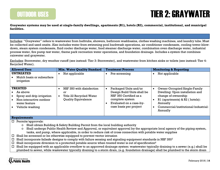

### TIER 2: GRAYWATER

**Graywater systems may be used at single-family dwellings, apartments (R1), hotels (R2), commercial, institutional, and municipal facilities.**

Includes: "Graywater" refers to wastewater from bathtubs, showers, bathroom washbasins, clothes washing machines, and laundry tubs. Must be collected and used onsite. Also includes water from swimming pool backwash operations, air conditioner condensate, cooling tower-blowdown, steam system condensate, fluid cooler discharge water, food steamer discharge water, combination oven discharge water, industrial process water, fire pump test water, theme park recreation water operations, and foundation drainage. Includes a system that combines rainwater and graywater.

Excludes: Stormwater, dry weather runoff (see instead: Tier 3: Stormwater), and wastewater from kitchen sinks or toilets (see instead: Tier 4: Recycled Water).

| <b>Allowed Uses</b>                                                                                                    | <b>Min. Water Quality Standard</b>                                                       | <b>Treatment Process</b>                                                                                                                               | <b>Monitoring &amp; Reporting</b>                                                                                                                                                                       |
|------------------------------------------------------------------------------------------------------------------------|------------------------------------------------------------------------------------------|--------------------------------------------------------------------------------------------------------------------------------------------------------|---------------------------------------------------------------------------------------------------------------------------------------------------------------------------------------------------------|
| <b>UNTREATED</b><br>Mulch basin or subsurface<br>irrigation                                                            | Not applicable                                                                           | Pre-screening                                                                                                                                          | Not applicable                                                                                                                                                                                          |
| <b>TREATED</b><br>As above<br>Spray and drip irrigation<br>Non-interactive outdoor<br>water feature<br>Vehicle washing | NSF 350 with disinfection<br>or<br>Title 22 Recycled Water<br><b>Quality Equivalence</b> | Packaged Units and/or<br>Design Build Units shall be<br>NSF 350 Certified as a<br>complete system<br>Evaluated on a case-by-<br>case basis per project | Owner-Occupied Single-Family<br>$\bullet$<br>Dwelling: Upon installation and<br>change of ownership<br>R1 (apartments) $& R2$ (hotels):<br>Annually<br>Commercial/institutional/industrial:<br>Annually |

#### **Requirements**

 $\Box$  Permits/approvals:

- o Shall obtain Building & Safety Building Permit from the local building authority
- o Shall undergo Public Health Review and Approval, or equivalent approval by the appropriate local agency of the piping system, tanks, and pump, where applicable, in order to reduce risk of cross connection with potable water supplies
- $\Box$  Shall be screened or be otherwise equipped to prevent vector intrusion
- $\Box$  Shall incorporate failsafe designs to comply with failure sensing and signaling equipment standards in NSF 350<sup>7</sup>
- $\Box$  Shall incorporate diversion to a protected potable source when treated water is out of specification<sup>4</sup>
- $\Box$  Shall be equipped with an applicable overflow to an approved drainage system: wastewater typically draining to a sewer (e.g.) shall be plumbed to sewer, while wastewater typically draining to a storm drain, (e.g. foundation drainage) shall be plumbed to the storm drain

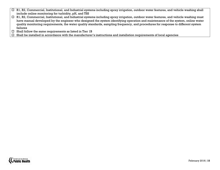- □ R1, R2, Commercial, Institutional, and Industrial systems including spray irrigation, outdoor water features, and vehicle washing shall include online monitoring for turbidity, pH, and TSS
- □ R1, R2, Commercial, Institutional, and Industrial systems including spray irrigation, outdoor water features, and vehicle washing must have manual developed by the engineer who designed the system identifying operation and maintenance of the system, online water quality monitoring requirements, the water quality standards, sampling frequency, and procedures for response to different system failures
- $\square$  Shall follow the same requirements as listed in Tier 1B
- $\Box$  Shall be installed in accordance with the manufacturer's instructions and installation requirements of local agencies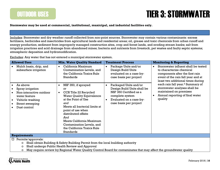OUTDOOR USES

### TIER 3: STORMWATER

**Stormwater may be used at commercial, institutional, municipal, and industrial facilities only.**

Includes: Stormwater and dry weather runoff collected from non-point sources. Stormwater may contain various contaminants: excess fertilizers, herbicides and insecticides from agricultural lands and residential areas; oil, grease and toxic chemicals from urban runoff and energy production; sediment from improperly managed construction sites, crop and forest lands, and eroding stream banks; salt from irrigation practices and acid drainage from abandoned mines; bacteria and nutrients from livestock, pet wastes and faulty septic systems; atmospheric deposition and hydromodification.

Excludes: Any water that has not entered a municipal stormwater system.

| <b>Allowed Uses</b>                                                                                                            | <b>Min. Water Quality Standard</b>                                                                                                                                                                                                                                                                                                     | <b>Treatment Process</b>                                                                                                                               | <b>Monitoring &amp; Reporting</b>                                                                                                                                                          |
|--------------------------------------------------------------------------------------------------------------------------------|----------------------------------------------------------------------------------------------------------------------------------------------------------------------------------------------------------------------------------------------------------------------------------------------------------------------------------------|--------------------------------------------------------------------------------------------------------------------------------------------------------|--------------------------------------------------------------------------------------------------------------------------------------------------------------------------------------------|
| Mulch basin, drip, and<br>subsurface irrigation                                                                                | California Maximum<br>$\bullet$<br>Contamination Levels, and<br>the California Toxics Rule<br><b>Standards</b>                                                                                                                                                                                                                         | Package Units and/or<br>Design Build Units<br>evaluated on a case-by-<br>case basis per project                                                        | Stormwater influent shall be tested<br>$\bullet$<br>to characterize chemical<br>components after the first rain<br>event of the rain fall year and at<br>least two additional times during |
| As above<br>Spray irrigation<br>Non-interactive outdoor<br>water feature<br>Vehicle washing<br>Street sweeping<br>Dust control | NSF 350, if sprayed<br>$\bullet$<br>0r<br>CCR Title 22 Recycled<br>$\bullet$<br><b>Water Quality Equivalence</b><br>at the Point of Use<br>and<br>Meets all bacterial limits at<br>point of use when<br>distributed offsite<br>And<br>Meets California Maximum<br>Contamination Levels, and<br>the California Toxics Rule<br>Standards | Packaged Units and/or<br>Design Build Units shall be<br>NSF 350 Certified as a<br>complete system<br>Evaluated on a case-by-<br>case basis per project | each rain fall year. <sup>5</sup> Summary of<br>stormwater analyses shall be<br>maintained on premises<br>Annual reporting of final water<br>quality                                       |
| <b>Requirements</b>                                                                                                            |                                                                                                                                                                                                                                                                                                                                        |                                                                                                                                                        |                                                                                                                                                                                            |

 $\Box$  Permits/approvals:

- o Shall obtain Building & Safety Building Permit from the local building authority
- o Shall undergo Public Health Review and Approval
- $\circ$  May require review by Regional Water Quality Control Board for contaminates that may affect the groundwater quality

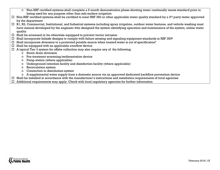- o Non-NSF certified systems shall complete a 6 month demonstration phase showing water continually meets standard prior to being used for any purpose other than sub-surface irrigation
- $\Box$  Non-NSF certified systems shall be certified to meet NSF 350 or other applicable water quality standard by a 3<sup>rd</sup> party tester approved by the department
- R1, R2, Commercial, Institutional, and Industrial systems including spray irrigation, outdoor water features, and vehicle washing must have manual developed by the engineer who designed the system identifying operation and maintenance of the system, online water quality
- $\square$  Shall be screened or be otherwise equipped to prevent vector intrusion
- $\Box$  Shall incorporate failsafe designs to comply with failure sensing and signaling equipment standards in NSF 350 $^8$
- $\Box$  Shall incorporate diversion to a protected potable source when treated water is out of specification<sup>4</sup>
- $\square$  Shall be equipped with an applicable overflow device
- $\Box$  A typical Tier 3 system for offsite collection may also require any of the following:
	- o Storm drain diversion
	- o Pre-treatment screening/sedimentation device
	- o Pump station (where applicable)
	- $\circ$  Underground retention facility and disinfection facility (where applicable)
	- o Recirculation system
	- o Connection to distribution system
	- o A supplemental water supply from a domestic source via an approved dedicated backflow prevention device
- $\Box$  Shall be installed in accordance with the manufacturer's instructions and installation requirements of local agencies
- $\Box$  Additional requirements may apply. Check with local regulatory agencies for further information

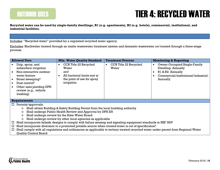

#### TIER 4: RECYCLED WATER

**Recycled water can be used by single-family dwellings, R1 (e.g. apartments), R2 (e.g. hotels), commercial, institutional, and industrial facilities.**

Includes: "Recycled water" provided by a regulated recycled water agency.

Excludes: Blackwater treated through an onsite wastewater treatment system and domestic wastewater *not* treated through a three-stage process.

| <b>Allowed Uses</b>                                                                                                                                                                                                                                                                                                                                                                                                                                                            | <b>Min. Water Quality Standard</b>                                                                                            | <b>Treatment Process</b>                    | <b>Monitoring &amp; Reporting</b>                                                                                                  |
|--------------------------------------------------------------------------------------------------------------------------------------------------------------------------------------------------------------------------------------------------------------------------------------------------------------------------------------------------------------------------------------------------------------------------------------------------------------------------------|-------------------------------------------------------------------------------------------------------------------------------|---------------------------------------------|------------------------------------------------------------------------------------------------------------------------------------|
| Drip, spray, and<br>subsurface irrigation<br>Non-interactive outdoor<br>water feature<br>Street sweeping <sup>8</sup><br>Dust control $9$<br>Other uses pending DPH<br>review (e.g., vehicle<br>washing)                                                                                                                                                                                                                                                                       | CCR Title 22 Recycled<br>$\bullet$<br>Water<br>and<br>All bacterial limits met at<br>the point of use for spray<br>irrigation | CCR Title 22 Recycled<br>$\bullet$<br>Water | <b>Owner-Occupied Single-Family</b><br>Dwelling: Annually<br>R1 & R2: Annually<br>Commercial/institutional/industrial:<br>Annually |
| <b>Requirements</b>                                                                                                                                                                                                                                                                                                                                                                                                                                                            |                                                                                                                               |                                             |                                                                                                                                    |
| $\Box$ Permits/approvals:<br>Shall obtain Building & Safety Building Permit from the local building authority<br>$\circ$<br>Shall undergo Public Health Review and Approval by DPH EH<br>$\circ$<br>Shall undergo review by the State Water Board<br>$\circ$<br>Shall undergo review by other local agencies as applicable<br>$\circ$<br>Shall incorporate failsafe designs to comply with failure sensing and signaling equipment standards in NSF 350 <sup>8</sup><br>$\Box$ |                                                                                                                               |                                             |                                                                                                                                    |
| Shall incorporate diversion to a protected potable source when treated water is out of specification <sup>4</sup><br>□.<br>Shall comply with all regulations and ordinances as applicable to tertiary treated recycled water under permit from Regional Water<br>□.<br><b>Quality Control Board</b>                                                                                                                                                                            |                                                                                                                               |                                             |                                                                                                                                    |

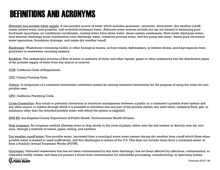## DEFINITIONS AND ACRONYMS

Alternate non-potable water supply: A non-potable source of water which includes graywater, rainwater, stormwater, dry weather runoff, onsite treated water (non-potable), and recycled/reclaimed water. Alternate water sources include but are not limited to swimming pool backwash operations, air conditioner condensate, cooling tower blow-down water, steam system condensate, fluid cooler discharge water, food steamer discharge water combination oven discharge water, industrial process water, and fire pump test water, theme park recreation water operations, foundation drainage, and onsite dry weather runoff.

Blackwater: Wastewater containing bodily or other biological wastes, as from toilets, dishwashers, or kitchen drains, and kept separate from graywater in wastewater recycling systems.

Backflow: The undesirable reversal of flow of water or mixtures of water and other liquids, gases or other substances into the distribution pipes of the potable supply of water from any source or sources

CCR: California Code of Regulations.

CFU: Colony Forming Units.

Cistern: A component of a rainwater/stormwater catchment system for storing rainwater/stormwater for the purpose of using the water for nonpotable uses.

CPC: California Plumbing Code.

Cross Connection: Any actual or potential connection or structural arrangement between a public or a consumer's potable water system and any other source or system through which it is possible to introduce into any part of the potable system any used water, industrial fluid, gas, or substance other than the intended potable water with which the system is supplied.

DPH EH: Los Angeles County Department of Public Health, Environmental Health Division.

Drip irrigation: An irrigation method allowing water to drip slowly to the roots of plants, either onto the soil surface or directly onto the root zone, through a network of valves, pipes, tubing, and emitters.

Dry weather runoff water: Non-potable water, harvested from a municipal storm water system during dry weather from runoff which flows when potable water is wasted or used inefficiently, and that discharges to waters of the U.S. This does not include water from a combined sewer or from a Publicly Owned Treatment Works (POTW).

Graywater: Untreated wastewater that has not been contaminated by any toilet discharge, has not been affected by infectious, contaminated, or unhealthy bodily wastes, and does not present a threat from contamination by unhealthful processing, manufacturing, or operating wastes.

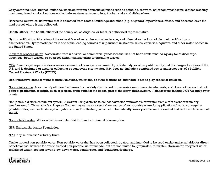Graywater includes, but not limited to, wastewater from domestic activities such as bathtubs, showers, bathroom washbasins, clothes washing machines, laundry tubs, but does not include wastewater from toilets, kitchen sinks and dishwashers.

Harvested rainwater: Rainwater that is collected from roofs of buildings and other (e.g. at grade) impervious surfaces, and does not leave the land parcel where it was collected.

Health Officer: The health officer of the county of Los Angeles, or his duly authorized representative.

Hydromodification: Alteration of the natural flow of water through a landscape, and often takes the form of channel modification or channelization. Hydromodification is one of the leading sources of impairment in streams, lakes, estuaries, aquifers, and other water bodies in the United States.

Industrial process water: Wastewater from industrial or commercial processes that has not been contaminated by any toilet discharge, infectious, bodily wastes, or by processing, manufacturing or operating wastes.

MS4: A municipal separate storm sewer system or of conveyances owned by a State, city, or other public entity that discharges to waters of the U.S. and is designed or used for collecting or conveying stormwater. MS4 does not include a combined sewer and is not part of a Publicly Owned Treatment Works (POTW).

Non-interactive outdoor water feature: Fountains, waterfalls, or other features not intended to act as play zones for children.

Non-point source: A source of pollution that issues from widely distributed or pervasive environmental elements, and does not have a distinct point of production or origin, such as a storm drain outlet at the beach, part of the storm drain system. Point sources include POTWs and power plants.

Non-potable cistern catchment system: A system using cisterns to collect harvested rainwater/stormwater from a rain event or from dry weather runoff. Cisterns in Los Angeles County may serve as a secondary source of non-potable water for applications that do not require potable water, such as landscape irrigation and indoor flushing, which can dramatically lower potable water demand and reduce offsite rainfall runoff.

Non-potable water: Water which is not intended for human or animal consumption.

NSF: National Sanitation Foundation.

NTU: Nephelometric Turbidity Units

Onsite treated non-potable water: Non-potable water that has been collected, treated, and intended to be used onsite and is suitable for direct beneficial use. Sources for onsite treated non-potable water include, but are not limited to, graywater, rainwater, stormwater, recycled water, reclaimed water, cooling tower blow-down water, condensate, and foundation drainage.

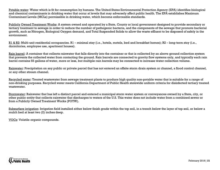Potable water: Water which is fit for consumption by humans. The United States Environmental Protection Agency (EPA) identifies biological and chemical contaminants in drinking water that occur at levels that may adversely affect public health. The EPA establishes Maximum Contaminant Levels (MCLs) permissible in drinking water, which become enforceable standards.

Publicly Owned Treatment Works: A system owned and operated by a State, County or local government designed to provide secondary or tertiary treatment to sewage in order to reduce the number of pathogenic bacteria, and the components of the sewage that promote bacterial growth, such as Nitrogen, Biological Oxygen demand, and Total Suspended Solids to allow the waste effluent to be disposed of safely in the environment.

R1 & R2: Multi-unit residential occupancies. R1 – minimal stay (i.e., hotels, motels, bed and breakfast homes); R2 – long-term stay (i.e., dormitories, employee use, apartment houses).

Rain barrel: A container that collects rainwater that falls directly into the container or that is collected by an above ground collection system that prevents the collected water from contacting the ground. Rain barrels are connected to gravity flow systems only, and typically each rain barrel contains 55 gallons of water, more or less, but multiple rain barrels may be connected to increase water collection volume.

Rainwater: Precipitation on any public or private parcel that has not entered an offsite storm drain system or channel, a flood control channel, or any other stream channel.

Recycled water: Treated wastewater from sewage treatment plants to produce high quality non-potable water that is suitable for a range of non-drinking purposes. Recycled water meets California Department of Public Health statewide uniform criteria for disinfected tertiary treated wastewater.

Stormwater: Rainwater that has left a distinct parcel and entered a municipal storm water system or conveyances owned by a State, city, or other public entity that collects rainwater that discharges to waters of the U.S. This water does not include water from a combined sewer or from a Publicly Owned Treatment Works (POTW).

Subsurface irrigation: Irrigation field installed either below finish grade within the top soil, in a trench below the layer of top soil, or below a mulch bed at least two (2) inches deep.

VOCs: Volatile organic compounds.

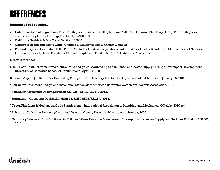### REFERENCES

#### **Referenced code sections:**

- California Code of Regulations Title 22, Chapter 15, Article 4; Chapter 3 and Title 24 (California Plumbing Code), Part 5, Chapters 2, 6, 16 and 17; as adopted by Los Angeles County as Title 28
- California Health & Safety Code, Section 116800
- California Health and Safety Code, Chapter 4, California Safe Drinking Water Act
- Federal Register: December 1992, Part 2. 40 Code of Federal Regulations Part 131 Water Quality Standards; Establishment of Numeric Criteria for Priority Toxic Pollutants; States' Compliance; Final Rule. A.K.A. California Toxics Rule

#### **Other references:**

Chau, Haan-Fawn, "Green Infrastructure for Los Angeles: Addressing Urban Runoff and Water Supply Through Low Impact Development," University of California School of Public Affairs, April 17, 2009.

Bellomo, Angelo J., "Rainwater Harvesting Policy 515.07," Los Angeles County Department of Public Health, January 25, 2010.

"Rainwater Catchment Design and Installation Standards," American Rainwater Catchment Systems Association, 2010.

"Rainwater Harvesting Design Standard 63, ANSI/ASPE/ARCSA, 2013.

"Stormwater Harvesting Design Standard 78, ANSI/ASPE/ARCSA, 2015.

"Green Plumbing & Mechanical Code Supplement," International Association of Plumbing and Mechanical Officials, 2010 rev.

"Rainwater Collection Systems (Cisterns)," Ventura County Resource Management Agency, 2006.

"Capturing Rainwater from Rooftops: An Efficient Water Resource Management Strategy that Increases Supply and Reduces Pollution," NRDC, 2011.

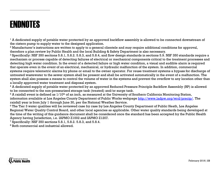#### ENDNOTES

<span id="page-22-0"></span> $\ddot{\phantom{a}}$ 

 $<sup>1</sup>$  A dedicated supply of potable water protected by an approved backflow assembly is allowed to be connected downstream of</sup> the cistern pump to supply water to the designed application.

<sup>2</sup> Manufacturer's instructions are written to apply to a general clientele and may require additional conditions for approval, therefore a plan review by Public Health and the local Building & Safety Department is also necessary.

<sup>3</sup> Specifically: NSF 350 sections 5.8.1, 5.8.2. 5.8.3, and 5.8.4, and flow design standards in sections 5.9. NSF 350 standards require a mechanism or process capable of detecting failures of electrical or mechanical components critical to the treatment processes and detecting high water condition. In the event of a detected failure or high water condition, a visual and audible alarm is required that operate even in the event of an electrical, mechanical, or hydraulic malfunction of the system. In addition, commercial systems require telemetric alarms by phone or email to the owner operator. For reuse treatment systems a bypass for discharge of untreated wastewater to the sewer system shall be present and shall be activated automatically in the event of a malfunction. The system shall also possess a means to control the volume of water in the systems and prevent the overflow to any location other than a locally approved water treatment and disposal system.

<sup>4</sup> A dedicated supply of potable water protected by an approved Reduced Pressure Principle Backflow Assembly (RP) is allowed to be connected to the non-pressurized storage tank (treated) and/or surge tank.

 $5$  A rainfall event is defined as  $1/10<sup>th</sup>$  of an inch, as measured at the University of Southern California Monitoring Station, information available at Los Angeles County Department of Public Works webpage [http://www.ladpw.org/wrd/precip/.](http://www.ladpw.org/wrd/precip/) The rainfall year is from July 1 through June 30, per the National Weather Service.

<sup>6</sup> The Tier 3 water qualities will be reviewed case by case by Los Angeles County Department of Public Heath, Los Angeles Regional Water Quality Control Board, and other local agencies as applicable. Other water quality standards being developed at the time of the writing of this guidance document shall be considered once the standard has been accepted by the Public Health Agency having Jurisdiction, i.e. IAPMO Z1002 and IAPMO Z1207.

<sup>7</sup> Specifically: NSF 350 sections 5.8.1, 5.8.2. 5.8.3, and 5.8.4.

<sup>8</sup> Both commercial and industrial allowed.